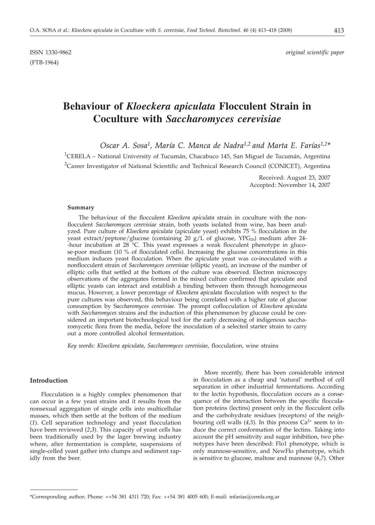(FTB-1964)

# **Behaviour of** *Kloeckera apiculata* **Flocculent Strain in Coculture with** *Saccharomyces cerevisiae*

*Oscar A. Sosa1, María C. Manca de Nadra1,2 and Marta E. Farías1,2\**

<sup>1</sup>CERELA – National University of Tucumán, Chacabuco 145, San Miguel de Tucumán, Argentina <sup>2</sup>Career Investigator of National Scientific and Technical Research Council (CONICET), Argentina

> Received: August 23, 2007 Accepted: November 14, 2007

## **Summary**

The behaviour of the flocculent *Kloeckera apiculata* strain in coculture with the nonflocculent *Saccharomyces cerevisiae* strain, both yeasts isolated from wine, has been analyzed. Pure culture of *Kloeckera apiculata* (apiculate yeast) exhibits 75 % flocculation in the yeast extract/peptone/glucose (containing 20 g/L of glucose, YPG<sub>20</sub>) medium after 24--hour incubation at 28 °C. This yeast expresses a weak flocculent phenotype in glucose-poor medium (10 % of flocculated cells). Increasing the glucose concentrations in this medium induces yeast flocculation. When the apiculate yeast was co-inoculated with a nonflocculent strain of *Saccharomyces cerevisiae* (elliptic yeast), an increase of the number of elliptic cells that settled at the bottom of the culture was observed. Electron microscopy observations of the aggregates formed in the mixed culture confirmed that apiculate and elliptic yeasts can interact and establish a binding between them through homogeneous mucus. However, a lower percentage of *Kloeckera apiculata* flocculation with respect to the pure cultures was observed, this behaviour being correlated with a higher rate of glucose consumption by S*accharomyces cerevisiae*. The prompt coflocculation of *Kloeckera apiculata* with *Saccharomyces* strains and the induction of this phenomenon by glucose could be considered an important biotechnological tool for the early decreasing of indigenous saccharomycetic flora from the media, before the inoculation of a selected starter strain to carry out a more controlled alcohol fermentation.

*Key words*: *Kloeckera apiculata*, *Saccharomyces cerevisiae*, flocculation, wine strains

# **Introduction**

Flocculation is a highly complex phenomenon that can occur in a few yeast strains and it results from the nonsexual aggregation of single cells into multicellular masses, which then settle at the bottom of the medium (*1*). Cell separation technology and yeast flocculation have been reviewed (*2*,*3*). This capacity of yeast cells has been traditionally used by the lager brewing industry where, after fermentation is complete, suspensions of single-celled yeast gather into clumps and sediment rapidly from the beer.

More recently, there has been considerable interest in flocculation as a cheap and 'natural' method of cell separation in other industrial fermentations. According to the lectin hypothesis, flocculation occurs as a consequence of the interaction between the specific flocculation proteins (lectins) present only in the flocculent cells and the carbohydrate residues (receptors) of the neighbouring cell walls  $(4,5)$ . In this process  $Ca<sup>2+</sup>$  seem to induce the correct conformation of the lectins. Taking into account the pH sensitivity and sugar inhibition, two phenotypes have been described: Flo1 phenotype, which is only mannose-sensitive, and NewFlo phenotype, which is sensitive to glucose, maltose and mannose (*6*,*7*). Other

<sup>\*</sup>Corresponding author; Phone: ++54 381 4311 720; Fax: ++54 381 4005 600; E-mail: mfarias@cerela.org.ar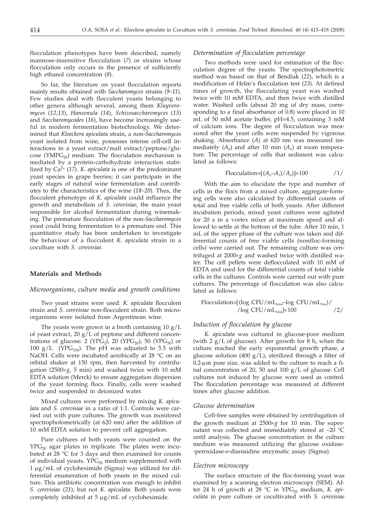flocculation phenotypes have been described, namely mannose-insensitive flocculation (*7*) or strains whose flocculation only occurs in the presence of sufficiently high ethanol concentration (*8*).

So far, the literature on yeast flocculation reports mainly results obtained with *Saccharomyces* strains (*9*–*11*). Few studies deal with flocculent yeasts belonging to other genera although several, among them *Kluyveromyces* (*12*,*13*), *Hansenula* (*14*), *Schizosaccharomyces* (*15*) and *Saccharomycodes* (*16*), have become increasingly useful in modern fermentation biotechnology. We determined that *Kloeckera apiculata* strain, a non-*Saccharomyces* yeast isolated from wine, possesses intense cell-cell interactions in a yeast extract/malt extract/peptone/glucose (YMP $G_{20}$ ) medium. The flocculation mechanism is mediated by a protein-carbohydrate interaction stabilized by Ca2+ (*17*). *K. apiculata* is one of the predominant yeast species in grape berries; it can participate in the early stages of natural wine fermentation and contributes to the characteristics of the wine (*18–20*). Thus, the flocculent phenotype of *K. apiculata* could influence the growth and metabolism of *S. cerevisiae*, the main yeast responsible for alcohol fermentation during winemaking. The premature flocculation of the non-*Saccharomyces* yeast could bring fermentation to a premature end. This quantitative study has been undertaken to investigate the behaviour of a flocculent *K. apiculata* strain in a coculture with *S. cerevisiae*.

### **Materials and Methods**

#### *Microorganisms, culture media and growth conditions*

Two yeast strains were used: *K. apiculata* flocculent strain and *S. cerevisiae* non-flocculent strain. Both microorganisms were isolated from Argentinean wine.

The yeasts were grown in a broth containing  $10 \text{ g}/\text{L}$ of yeast extract, 20 g/L of peptone and different concentrations of glucose: 2 (YPG<sub>2</sub>), 20 (YPG<sub>20</sub>), 50 (YPG<sub>50</sub>) or 100 g/L (YPG $_{100}$ ). The pH was adjusted to 5.5 with NaOH. Cells were incubated aerobically at 28 °C on an orbital shaker at 150 rpm, then harvested by centrifugation (2500 $\times$ *g*, 5 min) and washed twice with 10 mM EDTA solution (Merck) to ensure aggregation dispersion of the yeast forming flocs. Finally, cells were washed twice and suspended in deionized water.

Mixed cultures were performed by mixing *K. apiculata* and *S. cerevisiae* in a ratio of 1:1. Controls were carried out with pure cultures. The growth was monitored spectrophotometrically (at 620 nm) after the addition of 10 mM EDTA solution to prevent cell aggregation.

Pure cultures of both yeasts were counted on the  $YPG<sub>20</sub>$  agar plates in triplicate. The plates were incubated at  $28 \text{ °C}$  for 3 days and then examined for counts of individual yeasts.  $YPG_{20}$  medium supplemented with  $1 \mu$ g/mL of cycloheximide (Sigma) was utilized for differential enumeration of both yeasts in the mixed culture. This antibiotic concentration was enough to inhibit *S. cerevisiae* (*21*), but not *K. apiculata*. Both yeasts were completely inhibited at  $5 \mu g/mL$  of cycloheximide.

## *Determination of flocculation percentage*

Two methods were used for estimation of the flocculation degree of the yeasts. The spectrophotometric method was based on that of Bendiak (*22*), which is a modification of Helm's flocculation test (*23*). At defined times of growth, the flocculating yeast was washed twice with 10 mM EDTA, and then twice with distilled water. Washed cells (about 20 mg of dry mass, corresponding to a final absorbance of 0.8) were placed in 10 mL of 50 mM acetate buffer, pH=4.5, containing 3 mM of calcium ions. The degree of flocculation was measured after the yeast cells were suspended by vigorous shaking. Absorbance (*A*) at 620 nm was measured immediately  $(A_0)$  and after 10 min  $(A_1)$  at room temperature. The percentage of cells that sediment was calculated as follows:

$$
Flocculation = [(Ao-A1)/Ao] $\times$ 100
$$
 /1/

With the aim to elucidate the type and number of cells in the flocs from a mixed culture, aggregate-forming cells were also calculated by differential counts of total and free viable cells of both yeasts. After different incubation periods, mixed yeast cultures were agitated for 20 s in a vortex mixer at maximum speed and allowed to settle at the bottom of the tube. After 10 min, 1 mL of the upper phase of the culture was taken and differential counts of free viable cells (nonfloc-forming cells) were carried out. The remaining culture was centrifuged at 2000×g and washed twice with distilled water. The cell pellets were deflocculated with 10 mM of EDTA and used for the differential counts of total viable cells in the cultures. Controls were carried out with pure cultures. The percentage of flocculation was also calculated as follows:

$$
\hbox{Floculation=}\hbox{[log CFU/mL}_{total}\hbox{-log CFU/mL}_{\rm{total}}/2/\hbox{[log CFU/mL}_{total}]\hbox{[100]}\hbox{[100]}\hbox{[100]}\hbox{[100]}\hbox{[100]}\hbox{[100]}\hbox{[100]}\hbox{[100]}\hbox{[100]}\hbox{[100]}\hbox{[100]}\hbox{[100]}\hbox{[100]}\hbox{[100]}\hbox{[100]}\hbox{[100]}\hbox{[100]}\hbox{[100]}\hbox{[100]}\hbox{[100]}\hbox{[100]}\hbox{[100]}\hbox{[100]}\hbox{[100]}\hbox{[100]}\hbox{[100]}\hbox{[100]}\hbox{[100]}\hbox{[100]}\hbox{[100]}\hbox{[100]}\hbox{[100]}\hbox{[100]}\hbox{[100]}\hbox{[100]}\hbox{[100]}\hbox{[100]}\hbox{[100]}\hbox{[100]}\hbox{[100]}\hbox{[100]}\hbox{[100]}\hbox{[100]}\hbox{[100]}\hbox{[100]}\hbox{[100]}\hbox{[100]}\hbox{[100]}\hbox{[100]}\hbox{[100]}\hbox{[100]}\hbox{[100]}\hbox{[100]}\hbox{[100]}\hbox{[100]}\hbox{[100]}\hbox{[100]}\hbox{[100]}\hbox{[100]}\hbox{[100]}\hbox{[100]}\hbox{[100]}\hbox{[100]}\hbox{[100]}\hbox{[100]}\hbox{[100]}\hbox{[100]}\hbox{[100]}\hbox{[100]}\hbox{[100]}\hbox{[100]}\hbox{[100]}\hbox{[100]}\hbox{[100]}\hbox{[100]}\hbox{[100]}\hbox{[100]}\hbox{[100]}\hbox{[100]}\h
$$

## *Induction of flocculation by glucose*

*K. apiculata* was cultured in glucose-poor medium (with  $2 g/L$  of glucose). After growth for 8 h, when the culture reached the early exponential growth phase, a glucose solution (400 g/L), sterilized through a filter of  $0.2$ - $\mu$ m pore size, was added to the culture to reach a final concentration of 20, 50 and 100 g/L of glucose. Cell cultures not induced by glucose were used as control. The flocculation percentage was measured at different times after glucose addition.

#### *Glucose determination*

Cell-free samples were obtained by centrifugation of the growth medium at  $2500 \times g$  for 10 min. The supernatant was collected and immediately stored at –20 °C until analysis. The glucose concentration in the culture medium was measured utilizing the glucose oxidase- -peroxidase-*o*-dianisidine enzymatic assay (Sigma).

#### *Electron microscopy*

The surface structure of the floc-forming yeast was examined by a scanning electron microscopy (SEM). After 24 h of growth at 28  $\degree$ C in YPG<sub>20</sub> medium, *K. apiculata* in pure culture or cocultivated with *S. cerevisiae*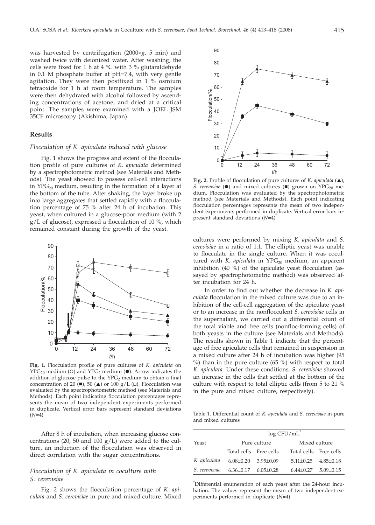was harvested by centrifugation  $(2000 \times g, 5 \text{ min})$  and washed twice with deionized water. After washing, the cells were fixed for 1 h at 4 °C with 3 % glutaraldehyde in 0.1 M phosphate buffer at pH=7.4, with very gentle agitation. They were then postfixed in 1 % osmium tetraoxide for 1 h at room temperature. The samples were then dehydrated with alcohol followed by ascending concentrations of acetone, and dried at a critical point. The samples were examined with a JOEL JSM 35CF microscopy (Akishima, Japan).

## **Results**

#### *Flocculation of K. apiculata induced with glucose*

Fig. 1 shows the progress and extent of the flocculation profile of pure cultures of *K. apiculata* determined by a spectrophotometric method (see Materials and Methods). The yeast showed to possess cell-cell interactions in  $YPG_{20}$  medium, resulting in the formation of a layer at the bottom of the tube. After shaking, the layer broke up into large aggregates that settled rapidly with a flocculation percentage of 75 % after 24 h of incubation. This yeast, when cultured in a glucose-poor medium (with 2 g/L of glucose), expressed a flocculation of 10 %, which remained constant during the growth of the yeast.



**Fig. 1.** Flocculation profile of pure cultures of *K. apiculata* on  $YPG_{20}$  medium (O) and  $YPG_2$  medium ( $\bullet$ ). Arrow indicates the addition of glucose pulse to the  $YPG<sub>2</sub>$  medium to obtain a final concentration of 20  $(\blacksquare)$ , 50  $(\blacktriangle)$  or 100 g/L  $(\square)$ . Flocculation was evaluated by the spectrophotometric method (see Materials and Methods). Each point indicating flocculation percentages represents the mean of two independent experiments performed in duplicate. Vertical error bars represent standard deviations (*N*=4)

After 8 h of incubation, when increasing glucose concentrations (20, 50 and 100  $g/L$ ) were added to the culture, an induction of the flocculation was observed in direct correlation with the sugar concentrations.

# *Flocculation of K. apiculata in coculture with S. cerevisiae*

Fig. 2 shows the flocculation percentage of *K. apiculata* and *S. cerevisiae* in pure and mixed culture. Mixed



Fig. 2. Profile of flocculation of pure cultures of *K. apiculata* (A), *S. cerevisiae* ( $\bullet$ ) and mixed cultures ( $\bullet$ ) grown on YPG<sub>20</sub> medium. Flocculation was evaluated by the spectrophotometric method (see Materials and Methods). Each point indicating flocculation percentages represents the mean of two independent experiments performed in duplicate. Vertical error bars represent standard deviations (*N*=4)

cultures were performed by mixing *K. apiculata* and *S. cerevisiae* in a ratio of 1:1*.* The elliptic yeast was unable to flocculate in the single culture. When it was cocultured with *K. apiculata* in YPG<sub>20</sub> medium, an apparent inhibition (40 %) of the apiculate yeast flocculation (assayed by spectrophotometric method) was observed after incubation for 24 h.

In order to find out whether the decrease in *K. apiculata* flocculation in the mixed culture was due to an inhibition of the cell-cell aggregation of the apiculate yeast or to an increase in the nonflocculent *S. cerevisiae* cells in the supernatant, we carried out a differential count of the total viable and free cells (nonfloc-forming cells) of both yeasts in the culture (see Materials and Methods). The results shown in Table 1 indicate that the percentage of free apiculate cells that remained in suspension in a mixed culture after 24 h of incubation was higher (95 %) than in the pure culture (65 %) with respect to total *K. apiculata*. Under these conditions, *S. cerevisiae* showed an increase in the cells that settled at the bottom of the culture with respect to total elliptic cells (from 5 to 21 % in the pure and mixed culture, respectively).

Table 1. Differential count of *K. apiculata* and *S. cerevisiae* in pure and mixed cultures

| Yeast         | log CFU/mL                  |                 |  |                                 |  |  |
|---------------|-----------------------------|-----------------|--|---------------------------------|--|--|
|               | Pure culture                |                 |  | Mixed culture                   |  |  |
|               | Total cells Free cells      |                 |  | Total cells Free cells          |  |  |
| K. apiculata  | $6.08 \pm 0.20$             | $3.95 \pm 0.09$ |  | $5.11 \pm 0.25$ $4.85 \pm 0.18$ |  |  |
| S. cerevisiae | $6.36\pm0.17$ $6.05\pm0.28$ |                 |  | $6.44\pm0.27$ $5.09\pm0.15$     |  |  |
|               |                             |                 |  |                                 |  |  |

\* Differential enumeration of each yeast after the 24-hour incubation. The values represent the mean of two independent experiments performed in duplicate (*N*=4)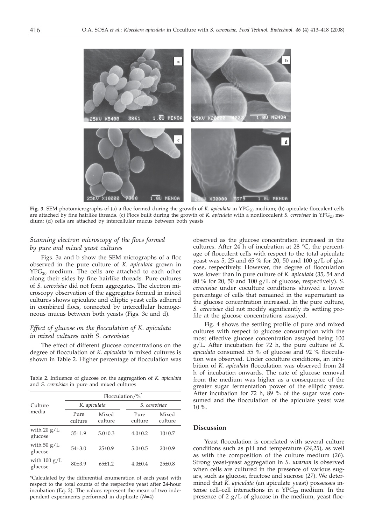

Fig. 3. SEM photomicrographs of (a) a floc formed during the growth of *K. apiculata* in YPG<sub>20</sub> medium; (b) apiculate flocculent cells are attached by fine hairlike threads. (c) Flocs built during the growth of *K. apiculata* with a nonflocculent *S. cerevisiae* in YPG<sub>20</sub> medium; (d) cells are attached by intercellular mucus between both yeasts

# *Scanning electron microscopy of the flocs formed by pure and mixed yeast cultures*

Figs. 3a and b show the SEM micrographs of a floc observed in the pure culture of *K. apiculata* grown in  $YPG<sub>20</sub>$  medium. The cells are attached to each other along their sides by fine hairlike threads. Pure cultures of *S. cerevisiae* did not form aggregates. The electron microscopy observation of the aggregates formed in mixed cultures shows apiculate and elliptic yeast cells adhered in combined flocs, connected by intercellular homogeneous mucus between both yeasts (Figs. 3c and d).

# *Effect of glucose on the flocculation of K. apiculata in mixed cultures with S. cerevisiae*

The effect of different glucose concentrations on the degree of flocculation of *K. apiculata* in mixed cultures is shown in Table 2. Higher percentage of flocculation was

Table 2. Influence of glucose on the aggregation of *K. apiculata* and *S. cerevisiae* in pure and mixed cultures

|                                   | Flocculation/%  |                  |                 |                     |  |  |
|-----------------------------------|-----------------|------------------|-----------------|---------------------|--|--|
| Culture<br>media                  | K. apiculata    |                  | S. cerevisiae   |                     |  |  |
|                                   | Pure<br>culture | Mixed<br>culture | Pure<br>culture | Mixed<br>culture    |  |  |
| with $20 g/L$<br>glucose          | $35 \pm 1.9$    | $5.0 \pm 0.3$    | $4.0 \pm 0.2$   | 10 <sub>±</sub> 0.7 |  |  |
| with $50 g/L$<br>glucose          | $54\pm3.0$      | $25+0.9$         | $5.0 \pm 0.5$   | $20 \pm 0.9$        |  |  |
| with $100 \text{ g/L}$<br>glucose | 80±3.9          | $65 \pm 1.2$     | $4.0 \pm 0.4$   | $25 \pm 0.8$        |  |  |

\*Calculated by the differential enumeration of each yeast with respect to the total counts of the respective yeast after 24-hour incubation (Eq. 2). The values represent the mean of two independent experiments performed in duplicate (*N*=4)

observed as the glucose concentration increased in the cultures. After 24 h of incubation at 28 °C, the percentage of flocculent cells with respect to the total apiculate yeast was 5, 25 and 65 % for 20, 50 and 100 g/L of glucose, respectively. However, the degree of flocculation was lower than in pure culture of *K. apiculata* (35, 54 and 80 % for 20, 50 and 100 g/L of glucose, respectively). *S. cerevisiae* under coculture conditions showed a lower percentage of cells that remained in the supernatant as the glucose concentration increased. In the pure culture, *S. cerevisiae* did not modify significantly its settling profile at the glucose concentrations assayed.

Fig. 4 shows the settling profile of pure and mixed cultures with respect to glucose consumption with the most effective glucose concentration assayed being 100 g/L. After incubation for 72 h, the pure culture of *K. apiculata* consumed 55 % of glucose and 92 % flocculation was observed. Under coculture conditions, an inhibition of *K. apiculata* flocculation was observed from 24 h of incubation onwards. The rate of glucose removal from the medium was higher as a consequence of the greater sugar fermentation power of the elliptic yeast. After incubation for 72 h, 89 % of the sugar was consumed and the flocculation of the apiculate yeast was 10 %.

## **Discussion**

Yeast flocculation is correlated with several culture conditions such as pH and temperature (*24*,*25*), as well as with the composition of the culture medium (*26*). Strong yeast-yeast aggregation in *S. uvarum* is observed when cells are cultured in the presence of various sugars, such as glucose, fructose and sucrose (*27*). We determined that *K. apiculata* (an apiculate yeast) possesses intense cell–cell interactions in a  $YPG_{20}$  medium. In the presence of  $2 g/L$  of glucose in the medium, yeast floc-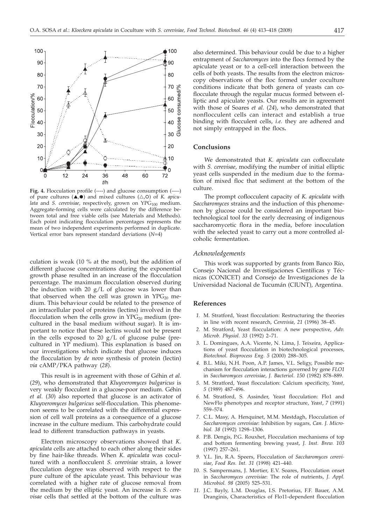

Fig. 4. Flocculation profile (----) and glucose consumption (---) of pure cultures  $(A, \bullet)$  and mixed cultures  $(\triangle, \circ)$  of *K. apiculata* and *S. cerevisiae*, respectively, grown on YPG<sub>100</sub> medium. Aggregate-forming cells were calculated by the difference between total and free viable cells (see Materials and Methods). Each point indicating flocculation percentages represents the mean of two independent experiments performed in duplicate. Vertical error bars represent standard deviations (*N*=4)

culation is weak (10 % at the most), but the addition of different glucose concentrations during the exponential growth phase resulted in an increase of the flocculation percentage. The maximum flocculation observed during the induction with 20  $g/L$  of glucose was lower than that observed when the cell was grown in  $YPG_{20}$  medium. This behaviour could be related to the presence of an intracellular pool of proteins (lectins) involved in the flocculation when the cells grow in  $YPG_{20}$  medium (precultured in the basal medium without sugar). It is important to notice that these lectins would not be present in the cells exposed to 20  $g/L$  of glucose pulse (precultured in YP medium). This explanation is based on our investigations which indicate that glucose induces the flocculation by *de novo* synthesis of protein (lectin) *via* cAMP/PKA pathway (*28*).

This result is in agreement with those of Géhin *et al.* (*29*), who demonstrated that *Kluyveromyces bulgaricus* is very weakly flocculent in a glucose-poor medium. Géhin *et al.* (*30*) also reported that glucose is an activator of *Kluyveromyces bulgaricus* self-flocculation*.* This phenomenon seems to be correlated with the differential expression of cell wall proteins as a consequence of a glucose increase in the culture medium. This carbohydrate could lead to different transduction pathways in yeasts.

Electron microscopy observations showed that *K. apiculata* cells are attached to each other along their sides by fine hair-like threads. When *K. apiculata* was cocultured with a nonflocculent *S. cerevisiae* strain, a lower flocculation degree was observed with respect to the pure culture of the apiculate yeast. This behaviour was correlated with a higher rate of glucose removal from the medium by the elliptic yeast. An increase in *S. cerevisae* cells that settled at the bottom of the culture was

also determined. This behaviour could be due to a higher entrapment of *Saccharomyces* into the flocs formed by the apiculate yeast or to a cell-cell interaction between the cells of both yeasts. The results from the electron microscopy observations of the floc formed under coculture conditions indicate that both genera of yeasts can coflocculate through the regular mucus formed between elliptic and apiculate yeasts. Our results are in agreement with those of Soares *et al.* (*24*), who demonstrated that nonflocculent cells can interact and establish a true binding with flocculent cells, *i.e.* they are adhered and not simply entrapped in the flocs**.**

## **Conclusions**

We demonstrated that *K. apiculata* can coflocculate with *S. cerevisae*, modifying the number of initial elliptic yeast cells suspended in the medium due to the formation of mixed floc that sediment at the bottom of the culture.

The prompt coflocculent capacity of *K. apiculata* with *Saccharomyces* strains and the induction of this phenomenon by glucose could be considered an important biotechnological tool for the early decreasing of indigenous saccharomycetic flora in the media, before inoculation with the selected yeast to carry out a more controlled alcoholic fermentation.

### *Acknowledgements*

This work was supported by grants from Banco Río, Consejo Nacional de Investigaciones Científicas y Técnicas (CONICET) and Consejo de Investigaciones de la Universidad Nacional de Tucumán (CIUNT), Argentina.

### **References**

- *1.* M. Stratford, Yeast flocculation: Restructuring the theories in line with recent research, *Cerevisia*, *21* (1996) 38–45.
- *2.* M. Stratford, Yeast flocculation: A new perspective, *Adv. Microb. Physiol. 33* (1992) 2–71.
- *3.* L. Domingues, A.A. Vicente, N. Lima, J. Teixeira, Applications of yeast flocculation in biotechnological processes, *Biotechnol. Bioprocess Eng. 5* (2000) 288–305.
- *4.* B.L. Miki, N.H. Poon, A.P. James, V.L. Seligy, Possible mechanism for flocculation interactions governed by gene *FLO1* in *Saccharomyces cerevisiae*, *J. Bacteriol*. *150* (1982) 878–889.
- *5.* M. Stratford, Yeast flocculation: Calcium specificity, *Yeast*, *5* (1989) 487–496.
- *6.* M. Stratford, S. Assinder, Yeast flocculation: Flo1 and NewFlo phenotypes and receptor structure, *Yeast*, *7* (1991) 559–574.
- *7.* C.L. Masy, A. Henquinet, M.M. Mestdagh, Flocculation of *Saccharomyces cerevisiae*: Inhibition by sugars*, Can. J. Microbiol. 38* (1992) 1298–1306.
- *8.* P.B. Dengis, P.G. Rouxhet, Flocculation mechanisms of top and bottom fermenting brewing yeast, *J. Inst. Brew. 103* (1997) 257–261.
- *9.* Y.L. Jin, R.A. Speers, Flocculation of *Saccharomyces cerevisiae*, *Food Res. Int. 31* (1998) 421–440.
- *10.* S. Sampermans, J. Mortier, E.V. Soares, Flocculation onset in *Saccharomyces cerevisiae*: The role of nutrients, *J. Appl. Microbiol. 98* (2005) 525–531.
- *11.* J.C. Bayly, L.M. Douglas, I.S. Pretorius, F.F. Bauer, A.M. Dranginis, Characteristics of Flo11-dependent flocculation